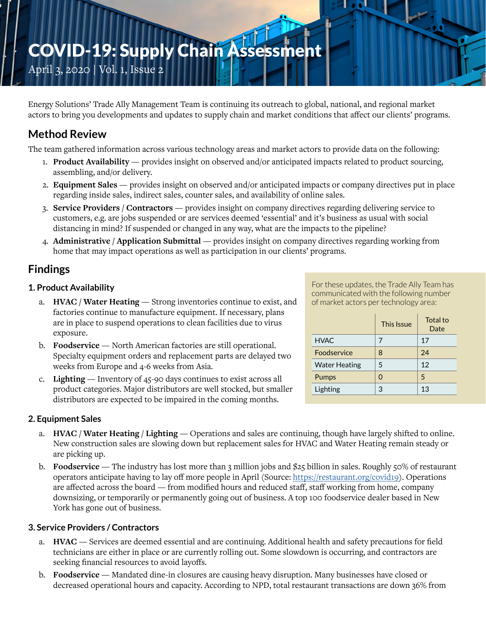# COVID-19: Supply Chain Assessment

April 3, 2020 | Vol. 1, Issue 2

Energy Solutions' Trade Ally Management Team is continuing its outreach to global, national, and regional market actors to bring you developments and updates to supply chain and market conditions that affect our clients' programs.

# **Method Review**

The team gathered information across various technology areas and market actors to provide data on the following:

- 1. **Product Availability** provides insight on observed and/or anticipated impacts related to product sourcing, assembling, and/or delivery.
- 2. **Equipment Sales** provides insight on observed and/or anticipated impacts or company directives put in place regarding inside sales, indirect sales, counter sales, and availability of online sales.
- 3. **Service Providers / Contractors** provides insight on company directives regarding delivering service to customers, e.g. are jobs suspended or are services deemed 'essential' and it's business as usual with social distancing in mind? If suspended or changed in any way, what are the impacts to the pipeline?
- 4. **Administrative / Application Submittal** provides insight on company directives regarding working from home that may impact operations as well as participation in our clients' programs.

# **Findings**

# **1. Product Availability**

- a. **HVAC / Water Heating** Strong inventories continue to exist, and factories continue to manufacture equipment. If necessary, plans are in place to suspend operations to clean facilities due to virus exposure.
- b. **Foodservice** North American factories are still operational. Specialty equipment orders and replacement parts are delayed two weeks from Europe and 4-6 weeks from Asia.
- c. **Lighting** Inventory of 45-90 days continues to exist across all product categories. Major distributors are well stocked, but smaller distributors are expected to be impaired in the coming months.

**2. Equipment Sales**

- a. **HVAC / Water Heating / Lighting** Operations and sales are continuing, though have largely shifted to online. New construction sales are slowing down but replacement sales for HVAC and Water Heating remain steady or are picking up.
- b. **Foodservice** The industry has lost more than 3 million jobs and \$25 billion in sales. Roughly 50% of restaurant operators anticipate having to lay off more people in April (Source:<https://restaurant.org/covid19>). Operations are affected across the board — from modified hours and reduced staff, staff working from home, company downsizing, or temporarily or permanently going out of business. A top 100 foodservice dealer based in New York has gone out of business.

# **3. Service Providers / Contractors**

- a. **HVAC** Services are deemed essential and are continuing. Additional health and safety precautions for field technicians are either in place or are currently rolling out. Some slowdown is occurring, and contractors are seeking financial resources to avoid layoffs.
- b. **Foodservice** Mandated dine-in closures are causing heavy disruption. Many businesses have closed or decreased operational hours and capacity. According to NPD, total restaurant transactions are down 36% from

For these updates, the Trade Ally Team has communicated with the following number of market actors per technology area:

|                      | <b>This Issue</b> | Total to<br>Date |
|----------------------|-------------------|------------------|
| <b>HVAC</b>          | 7                 | 17               |
| Foodservice          | 8                 | 24               |
| <b>Water Heating</b> | 5                 | 12               |
| Pumps                | O                 | 5                |
| Lighting             | 3                 | 13               |